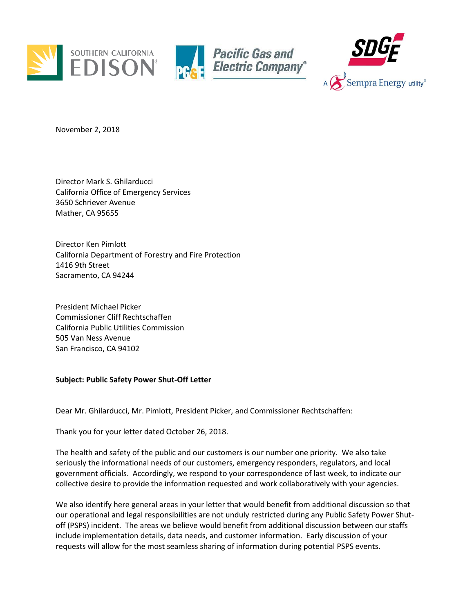





November 2, 2018

Director Mark S. Ghilarducci California Office of Emergency Services 3650 Schriever Avenue Mather, CA 95655

Director Ken Pimlott California Department of Forestry and Fire Protection 1416 9th Street Sacramento, CA 94244

President Michael Picker Commissioner Cliff Rechtschaffen California Public Utilities Commission 505 Van Ness Avenue San Francisco, CA 94102

## **Subject: Public Safety Power Shut-Off Letter**

Dear Mr. Ghilarducci, Mr. Pimlott, President Picker, and Commissioner Rechtschaffen:

Thank you for your letter dated October 26, 2018.

The health and safety of the public and our customers is our number one priority. We also take seriously the informational needs of our customers, emergency responders, regulators, and local government officials. Accordingly, we respond to your correspondence of last week, to indicate our collective desire to provide the information requested and work collaboratively with your agencies.

We also identify here general areas in your letter that would benefit from additional discussion so that our operational and legal responsibilities are not unduly restricted during any Public Safety Power Shutoff (PSPS) incident. The areas we believe would benefit from additional discussion between our staffs include implementation details, data needs, and customer information. Early discussion of your requests will allow for the most seamless sharing of information during potential PSPS events.